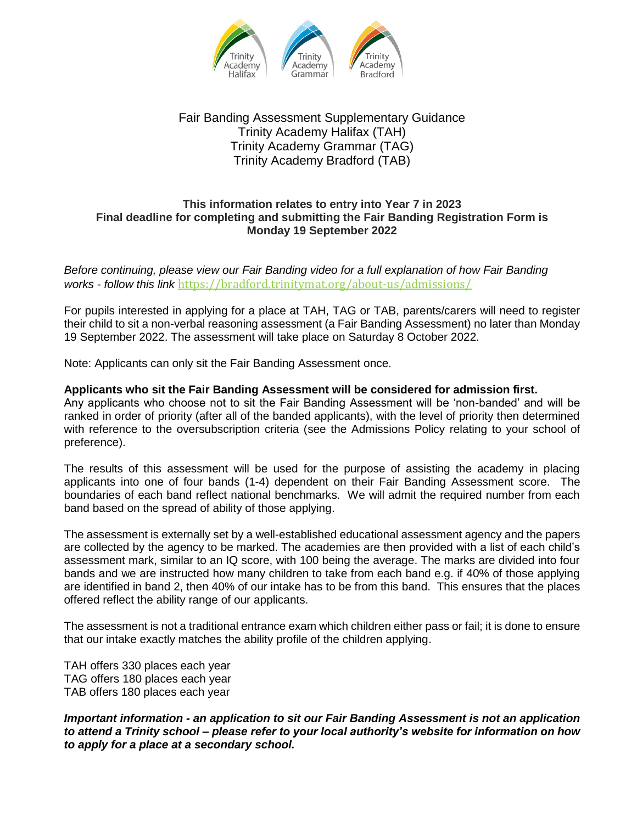

## Fair Banding Assessment Supplementary Guidance Trinity Academy Halifax (TAH) Trinity Academy Grammar (TAG) Trinity Academy Bradford (TAB)

## **This information relates to entry into Year 7 in 2023 Final deadline for completing and submitting the Fair Banding Registration Form is Monday 19 September 2022**

*Before continuing, please view our Fair Banding video for a full explanation of how Fair Banding works - follow this link* <https://bradford.trinitymat.org/about-us/admissions/>

For pupils interested in applying for a place at TAH, TAG or TAB, parents/carers will need to register their child to sit a non-verbal reasoning assessment (a Fair Banding Assessment) no later than Monday 19 September 2022. The assessment will take place on Saturday 8 October 2022.

Note: Applicants can only sit the Fair Banding Assessment once.

## **Applicants who sit the Fair Banding Assessment will be considered for admission first.**

Any applicants who choose not to sit the Fair Banding Assessment will be 'non-banded' and will be ranked in order of priority (after all of the banded applicants), with the level of priority then determined with reference to the oversubscription criteria (see the Admissions Policy relating to your school of preference).

The results of this assessment will be used for the purpose of assisting the academy in placing applicants into one of four bands (1-4) dependent on their Fair Banding Assessment score. The boundaries of each band reflect national benchmarks. We will admit the required number from each band based on the spread of ability of those applying.

The assessment is externally set by a well-established educational assessment agency and the papers are collected by the agency to be marked. The academies are then provided with a list of each child's assessment mark, similar to an IQ score, with 100 being the average. The marks are divided into four bands and we are instructed how many children to take from each band e.g. if 40% of those applying are identified in band 2, then 40% of our intake has to be from this band. This ensures that the places offered reflect the ability range of our applicants.

The assessment is not a traditional entrance exam which children either pass or fail; it is done to ensure that our intake exactly matches the ability profile of the children applying.

TAH offers 330 places each year TAG offers 180 places each year TAB offers 180 places each year

*Important information - an application to sit our Fair Banding Assessment is not an application to attend a Trinity school – please refer to your local authority's website for information on how to apply for a place at a secondary school.*